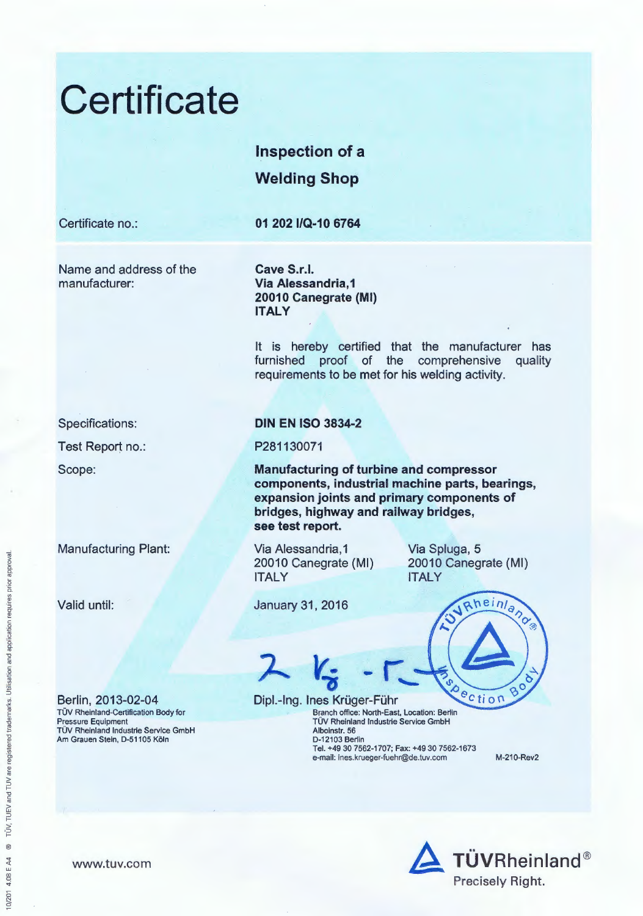



www.tuv.com

orior appro

ion and application requires

~ *5* 

registered trademark

TÜV, TUEV and TUV an

@

10/201 4.08 E A4